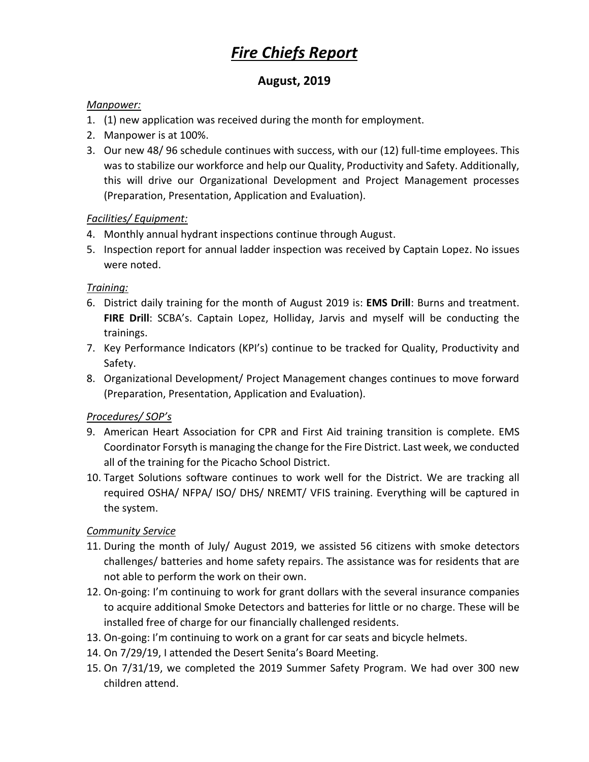# *Fire Chiefs Report*

# **August, 2019**

#### *Manpower:*

- 1. (1) new application was received during the month for employment.
- 2. Manpower is at 100%.
- 3. Our new 48/ 96 schedule continues with success, with our (12) full-time employees. This was to stabilize our workforce and help our Quality, Productivity and Safety. Additionally, this will drive our Organizational Development and Project Management processes (Preparation, Presentation, Application and Evaluation).

## *Facilities/ Equipment:*

- 4. Monthly annual hydrant inspections continue through August.
- 5. Inspection report for annual ladder inspection was received by Captain Lopez. No issues were noted.

## *Training:*

- 6. District daily training for the month of August 2019 is: **EMS Drill**: Burns and treatment. **FIRE Drill**: SCBA's. Captain Lopez, Holliday, Jarvis and myself will be conducting the trainings.
- 7. Key Performance Indicators (KPI's) continue to be tracked for Quality, Productivity and Safety.
- 8. Organizational Development/ Project Management changes continues to move forward (Preparation, Presentation, Application and Evaluation).

## *Procedures/ SOP's*

- 9. American Heart Association for CPR and First Aid training transition is complete. EMS Coordinator Forsyth is managing the change for the Fire District. Last week, we conducted all of the training for the Picacho School District.
- 10. Target Solutions software continues to work well for the District. We are tracking all required OSHA/ NFPA/ ISO/ DHS/ NREMT/ VFIS training. Everything will be captured in the system.

## *Community Service*

- 11. During the month of July/ August 2019, we assisted 56 citizens with smoke detectors challenges/ batteries and home safety repairs. The assistance was for residents that are not able to perform the work on their own.
- 12. On-going: I'm continuing to work for grant dollars with the several insurance companies to acquire additional Smoke Detectors and batteries for little or no charge. These will be installed free of charge for our financially challenged residents.
- 13. On-going: I'm continuing to work on a grant for car seats and bicycle helmets.
- 14. On 7/29/19, I attended the Desert Senita's Board Meeting.
- 15. On 7/31/19, we completed the 2019 Summer Safety Program. We had over 300 new children attend.